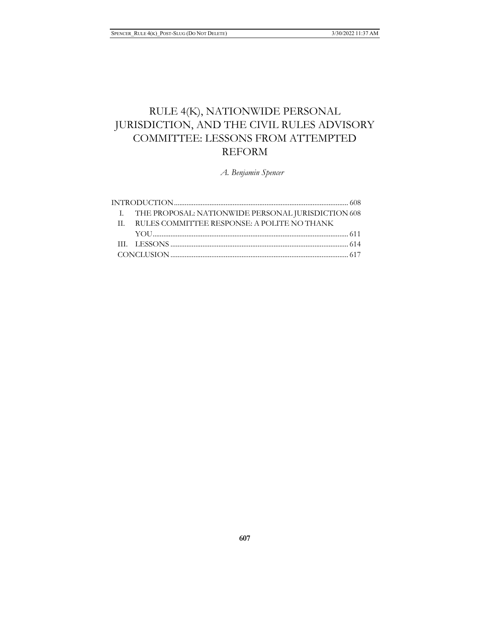# RULE 4(K), NATIONWIDE PERSONAL JURISDICTION, AND THE CIVIL RULES ADVISORY COMMITTEE: LESSONS FROM ATTEMPTED REFORM

*A. Benjamin Spencer*

|  | I. THE PROPOSAL: NATIONWIDE PERSONAL JURISDICTION 608 |
|--|-------------------------------------------------------|
|  | II. RULES COMMITTEE RESPONSE: A POLITE NO THANK       |
|  |                                                       |
|  |                                                       |
|  |                                                       |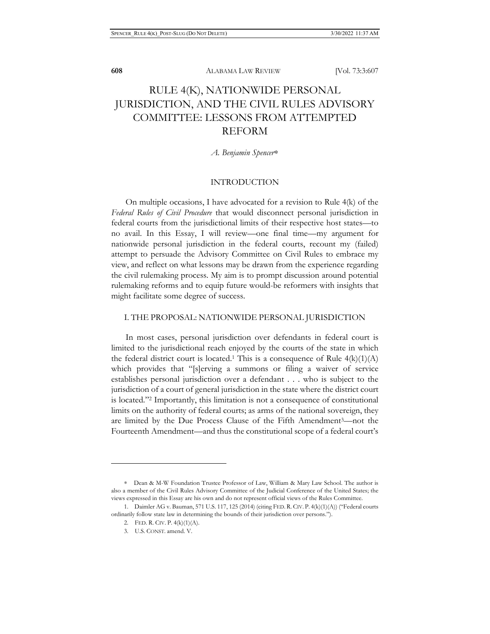## RULE 4(K), NATIONWIDE PERSONAL JURISDICTION, AND THE CIVIL RULES ADVISORY COMMITTEE: LESSONS FROM ATTEMPTED REFORM

*A. Benjamin Spencer*∗

### INTRODUCTION

On multiple occasions, I have advocated for a revision to Rule 4(k) of the *Federal Rules of Civil Procedure* that would disconnect personal jurisdiction in federal courts from the jurisdictional limits of their respective host states—to no avail. In this Essay, I will review—one final time—my argument for nationwide personal jurisdiction in the federal courts, recount my (failed) attempt to persuade the Advisory Committee on Civil Rules to embrace my view, and reflect on what lessons may be drawn from the experience regarding the civil rulemaking process. My aim is to prompt discussion around potential rulemaking reforms and to equip future would-be reformers with insights that might facilitate some degree of success.

#### I. THE PROPOSAL: NATIONWIDE PERSONAL JURISDICTION

In most cases, personal jurisdiction over defendants in federal court is limited to the jurisdictional reach enjoyed by the courts of the state in which the federal district court is located.<sup>1</sup> This is a consequence of Rule  $4(k)(1)(A)$ which provides that "[s]erving a summons or filing a waiver of service establishes personal jurisdiction over a defendant . . . who is subject to the jurisdiction of a court of general jurisdiction in the state where the district court is located."2 Importantly, this limitation is not a consequence of constitutional limits on the authority of federal courts; as arms of the national sovereign, they are limited by the Due Process Clause of the Fifth Amendment3—not the Fourteenth Amendment—and thus the constitutional scope of a federal court's

<sup>∗</sup> Dean & M-W Foundation Trustee Professor of Law, William & Mary Law School. The author is also a member of the Civil Rules Advisory Committee of the Judicial Conference of the United States; the views expressed in this Essay are his own and do not represent official views of the Rules Committee.

<sup>1.</sup> Daimler AG v. Bauman, 571 U.S. 117, 125 (2014) (citing FED. R. CIV. P. 4(k)(1)(A)) ("Federal courts ordinarily follow state law in determining the bounds of their jurisdiction over persons.").

<sup>2.</sup> FED. R. CIV. P. 4(k)(1)(A).

<sup>3.</sup> U.S. CONST. amend. V.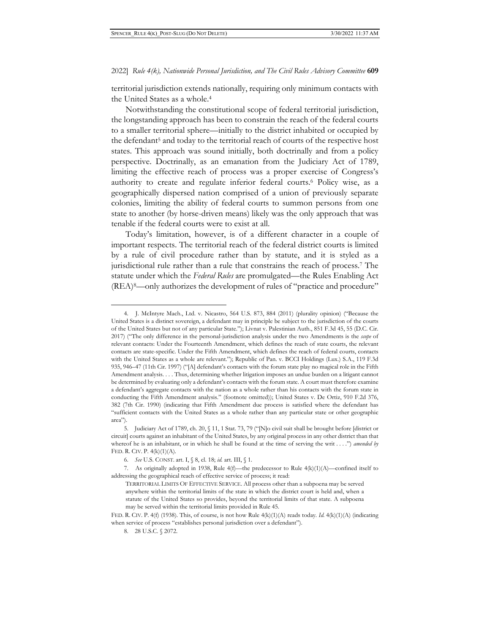territorial jurisdiction extends nationally, requiring only minimum contacts with the United States as a whole.4

Notwithstanding the constitutional scope of federal territorial jurisdiction, the longstanding approach has been to constrain the reach of the federal courts to a smaller territorial sphere—initially to the district inhabited or occupied by the defendant<sup>5</sup> and today to the territorial reach of courts of the respective host states. This approach was sound initially, both doctrinally and from a policy perspective. Doctrinally, as an emanation from the Judiciary Act of 1789, limiting the effective reach of process was a proper exercise of Congress's authority to create and regulate inferior federal courts.6 Policy wise, as a geographically dispersed nation comprised of a union of previously separate colonies, limiting the ability of federal courts to summon persons from one state to another (by horse-driven means) likely was the only approach that was tenable if the federal courts were to exist at all.

Today's limitation, however, is of a different character in a couple of important respects. The territorial reach of the federal district courts is limited by a rule of civil procedure rather than by statute, and it is styled as a jurisdictional rule rather than a rule that constrains the reach of process.7 The statute under which the *Federal Rules* are promulgated—the Rules Enabling Act (REA)8—only authorizes the development of rules of "practice and procedure"

<sup>4.</sup> J. McIntyre Mach., Ltd. v. Nicastro, 564 U.S. 873, 884 (2011) (plurality opinion) ("Because the United States is a distinct sovereign, a defendant may in principle be subject to the jurisdiction of the courts of the United States but not of any particular State."); Livnat v. Palestinian Auth., 851 F.3d 45, 55 (D.C. Cir. 2017) ("The only difference in the personal-jurisdiction analysis under the two Amendments is the *scope* of relevant contacts: Under the Fourteenth Amendment, which defines the reach of state courts, the relevant contacts are state-specific. Under the Fifth Amendment, which defines the reach of federal courts, contacts with the United States as a whole are relevant."); Republic of Pan. v. BCCI Holdings (Lux.) S.A., 119 F.3d 935, 946–47 (11th Cir. 1997) ("[A] defendant's contacts with the forum state play no magical role in the Fifth Amendment analysis. . . . Thus, determining whether litigation imposes an undue burden on a litigant cannot be determined by evaluating only a defendant's contacts with the forum state. A court must therefore examine a defendant's aggregate contacts with the nation as a whole rather than his contacts with the forum state in conducting the Fifth Amendment analysis." (footnote omitted)); United States v. De Ortiz, 910 F.2d 376, 382 (7th Cir. 1990) (indicating that Fifth Amendment due process is satisfied where the defendant has "sufficient contacts with the United States as a whole rather than any particular state or other geographic area").

<sup>5.</sup> Judiciary Act of 1789, ch. 20, § 11, 1 Stat. 73, 79 ("[N]o civil suit shall be brought before [district or circuit] courts against an inhabitant of the United States, by any original process in any other district than that whereof he is an inhabitant, or in which he shall be found at the time of serving the writ . . . .") *amended by* FED. R. CIV. P. 4(k)(1)(A).

<sup>6.</sup> *See* U.S. CONST. art. I, § 8, cl. 18; *id.* art. III, § 1.

<sup>7.</sup> As originally adopted in 1938, Rule 4(f)—the predecessor to Rule 4(k)(1)(A)—confined itself to addressing the geographical reach of effective service of process; it read:

TERRITORIAL LIMITS OF EFFECTIVE SERVICE. All process other than a subpoena may be served anywhere within the territorial limits of the state in which the district court is held and, when a statute of the United States so provides, beyond the territorial limits of that state. A subpoena may be served within the territorial limits provided in Rule 45.

FED. R. CIV. P. 4(f) (1938). This, of course, is not how Rule 4(k)(1)(A) reads today*. Id.* 4(k)(1)(A) (indicating when service of process "establishes personal jurisdiction over a defendant").

<sup>8. 28</sup> U.S.C. § 2072.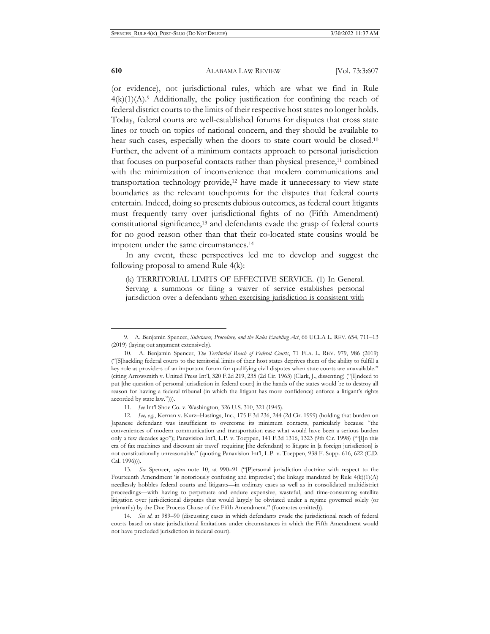(or evidence), not jurisdictional rules, which are what we find in Rule  $4(k)(1)(A)$ .<sup>9</sup> Additionally, the policy justification for confining the reach of federal district courts to the limits of their respective host states no longer holds. Today, federal courts are well-established forums for disputes that cross state lines or touch on topics of national concern, and they should be available to hear such cases, especially when the doors to state court would be closed.<sup>10</sup> Further, the advent of a minimum contacts approach to personal jurisdiction that focuses on purposeful contacts rather than physical presence,<sup>11</sup> combined with the minimization of inconvenience that modern communications and transportation technology provide,<sup>12</sup> have made it unnecessary to view state boundaries as the relevant touchpoints for the disputes that federal courts entertain. Indeed, doing so presents dubious outcomes, as federal court litigants must frequently tarry over jurisdictional fights of no (Fifth Amendment) constitutional significance,13 and defendants evade the grasp of federal courts for no good reason other than that their co-located state cousins would be impotent under the same circumstances.14

In any event, these perspectives led me to develop and suggest the following proposal to amend Rule 4(k):

(k) TERRITORIAL LIMITS OF EFFECTIVE SERVICE. (1) In General. Serving a summons or filing a waiver of service establishes personal jurisdiction over a defendant: when exercising jurisdiction is consistent with

<sup>9.</sup> A. Benjamin Spencer, *Substance, Procedure, and the Rules Enabling Act*, 66 UCLA L. REV. 654, 711–13 (2019) (laying out argument extensively).

<sup>10.</sup> A. Benjamin Spencer, *The Territorial Reach of Federal Courts*, 71 FLA. L. REV. 979, 986 (2019) ("[S]hackling federal courts to the territorial limits of their host states deprives them of the ability to fulfill a key role as providers of an important forum for qualifying civil disputes when state courts are unavailable." (citing Arrowsmith v. United Press Int'l, 320 F.2d 219, 235 (2d Cir. 1963) (Clark, J., dissenting) ("[I]ndeed to put [the question of personal jurisdiction in federal court] in the hands of the states would be to destroy all reason for having a federal tribunal (in which the litigant has more confidence) enforce a litigant's rights accorded by state law."))).

<sup>11.</sup> *See* Int'l Shoe Co. v. Washington, 326 U.S. 310, 321 (1945).

<sup>12.</sup> *See, e.g.*, Kernan v. Kurz–Hastings, Inc., 175 F.3d 236, 244 (2d Cir. 1999) (holding that burden on Japanese defendant was insufficient to overcome its minimum contacts, particularly because "the conveniences of modern communication and transportation ease what would have been a serious burden only a few decades ago"); Panavision Int'l, L.P. v. Toeppen, 141 F.3d 1316, 1323 (9th Cir. 1998) ("'[I]n this era of fax machines and discount air travel' requiring [the defendant] to litigate in [a foreign jurisdiction] is not constitutionally unreasonable." (quoting Panavision Int'l, L.P. v. Toeppen, 938 F. Supp. 616, 622 (C.D. Cal. 1996))).

<sup>13.</sup> *See* Spencer, *supra* note 10, at 990–91 ("[P]ersonal jurisdiction doctrine with respect to the Fourteenth Amendment 'is notoriously confusing and imprecise'; the linkage mandated by Rule  $4(k)(1)(A)$ needlessly hobbles federal courts and litigants—in ordinary cases as well as in consolidated multidistrict proceedings—with having to perpetuate and endure expensive, wasteful, and time-consuming satellite litigation over jurisdictional disputes that would largely be obviated under a regime governed solely (or primarily) by the Due Process Clause of the Fifth Amendment." (footnotes omitted)).

<sup>14.</sup> *See id.* at 989–90 (discussing cases in which defendants evade the jurisdictional reach of federal courts based on state jurisdictional limitations under circumstances in which the Fifth Amendment would not have precluded jurisdiction in federal court).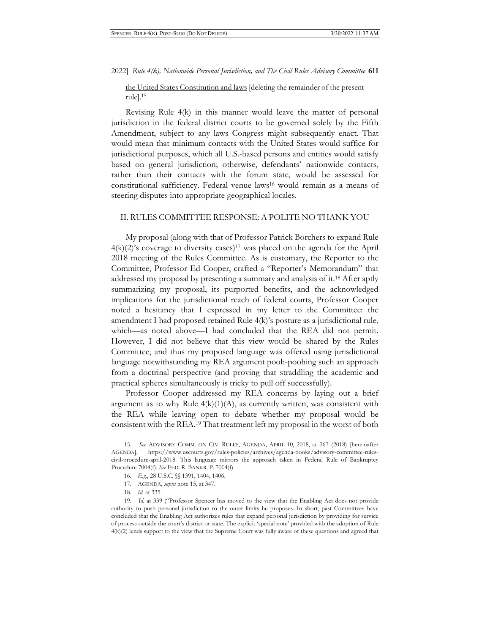the United States Constitution and laws [deleting the remainder of the present rule].15

Revising Rule 4(k) in this manner would leave the matter of personal jurisdiction in the federal district courts to be governed solely by the Fifth Amendment, subject to any laws Congress might subsequently enact. That would mean that minimum contacts with the United States would suffice for jurisdictional purposes, which all U.S.-based persons and entities would satisfy based on general jurisdiction; otherwise, defendants' nationwide contacts, rather than their contacts with the forum state, would be assessed for constitutional sufficiency. Federal venue laws16 would remain as a means of steering disputes into appropriate geographical locales.

### II. RULES COMMITTEE RESPONSE: A POLITE NO THANK YOU

My proposal (along with that of Professor Patrick Borchers to expand Rule  $4(k)(2)$ 's coverage to diversity cases)<sup>17</sup> was placed on the agenda for the April 2018 meeting of the Rules Committee. As is customary, the Reporter to the Committee, Professor Ed Cooper, crafted a "Reporter's Memorandum" that addressed my proposal by presenting a summary and analysis of it.18 After aptly summarizing my proposal, its purported benefits, and the acknowledged implications for the jurisdictional reach of federal courts, Professor Cooper noted a hesitancy that I expressed in my letter to the Committee: the amendment I had proposed retained Rule 4(k)'s posture as a jurisdictional rule, which—as noted above—I had concluded that the REA did not permit. However, I did not believe that this view would be shared by the Rules Committee, and thus my proposed language was offered using jurisdictional language notwithstanding my REA argument pooh-poohing such an approach from a doctrinal perspective (and proving that straddling the academic and practical spheres simultaneously is tricky to pull off successfully).

Professor Cooper addressed my REA concerns by laying out a brief argument as to why Rule  $4(k)(1)(A)$ , as currently written, was consistent with the REA while leaving open to debate whether my proposal would be consistent with the REA.19 That treatment left my proposal in the worst of both

<sup>15.</sup> *See* ADVISORY COMM. ON CIV. RULES, AGENDA, APRIL 10, 2018, at 367 (2018) [hereinafter AGENDA], https://www.uscourts.gov/rules-policies/archives/agenda-books/advisory-committee-rulescivil-procedure-april-2018. This language mirrors the approach taken in Federal Rule of Bankruptcy Procedure 7004(f). *See* FED. R. BANKR. P. 7004(f).

<sup>16.</sup> *E.g.*, 28 U.S.C. §§ 1391, 1404, 1406.

<sup>17.</sup> AGENDA, *supra* note 15, at 347.

<sup>18.</sup> *Id.* at 335.

<sup>19.</sup> *Id.* at 339 ("Professor Spencer has moved to the view that the Enabling Act does not provide authority to push personal jurisdiction to the outer limits he proposes. In short, past Committees have concluded that the Enabling Act authorizes rules that expand personal jurisdiction by providing for service of process outside the court's district or state. The explicit 'special note' provided with the adoption of Rule 4(k)(2) lends support to the view that the Supreme Court was fully aware of these questions and agreed that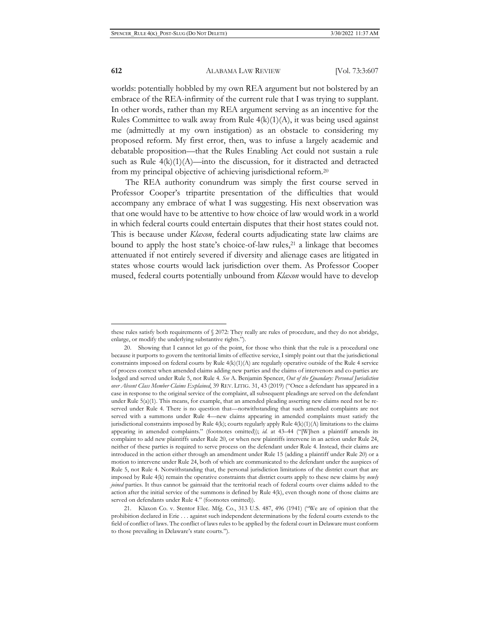worlds: potentially hobbled by my own REA argument but not bolstered by an embrace of the REA-infirmity of the current rule that I was trying to supplant. In other words, rather than my REA argument serving as an incentive for the Rules Committee to walk away from Rule  $4(k)(1)(A)$ , it was being used against me (admittedly at my own instigation) as an obstacle to considering my proposed reform. My first error, then, was to infuse a largely academic and debatable proposition—that the Rules Enabling Act could not sustain a rule such as Rule  $4(k)(1)(A)$ —into the discussion, for it distracted and detracted from my principal objective of achieving jurisdictional reform.20

The REA authority conundrum was simply the first course served in Professor Cooper's tripartite presentation of the difficulties that would accompany any embrace of what I was suggesting. His next observation was that one would have to be attentive to how choice of law would work in a world in which federal courts could entertain disputes that their host states could not. This is because under *Klaxon*, federal courts adjudicating state law claims are bound to apply the host state's choice-of-law rules,<sup>21</sup> a linkage that becomes attenuated if not entirely severed if diversity and alienage cases are litigated in states whose courts would lack jurisdiction over them. As Professor Cooper mused, federal courts potentially unbound from *Klaxon* would have to develop

these rules satisfy both requirements of § 2072: They really are rules of procedure, and they do not abridge, enlarge, or modify the underlying substantive rights.").

<sup>20.</sup> Showing that I cannot let go of the point, for those who think that the rule is a procedural one because it purports to govern the territorial limits of effective service, I simply point out that the jurisdictional constraints imposed on federal courts by Rule 4(k)(1)(A) are regularly operative outside of the Rule 4 service of process context when amended claims adding new parties and the claims of intervenors and co-parties are lodged and served under Rule 5, not Rule 4. *See* A. Benjamin Spencer, *Out of the Quandary: Personal Jurisdiction over Absent Class Member Claims Explained*, 39 REV. LITIG. 31, 43 (2019) ("Once a defendant has appeared in a case in response to the original service of the complaint, all subsequent pleadings are served on the defendant under Rule  $5(a)(1)$ . This means, for example, that an amended pleading asserting new claims need not be reserved under Rule 4. There is no question that—notwithstanding that such amended complaints are not served with a summons under Rule 4—new claims appearing in amended complaints must satisfy the jurisdictional constraints imposed by Rule  $4(k)$ ; courts regularly apply Rule  $4(k)(1)(A)$  limitations to the claims appearing in amended complaints." (footnotes omitted)); *id.* at 43–44 ("[W]hen a plaintiff amends its complaint to add new plaintiffs under Rule 20, or when new plaintiffs intervene in an action under Rule 24, neither of these parties is required to serve process on the defendant under Rule 4. Instead, their claims are introduced in the action either through an amendment under Rule 15 (adding a plaintiff under Rule 20) or a motion to intervene under Rule 24, both of which are communicated to the defendant under the auspices of Rule 5, not Rule 4. Notwithstanding that, the personal jurisdiction limitations of the district court that are imposed by Rule 4(k) remain the operative constraints that district courts apply to these new claims by *newly joined* parties. It thus cannot be gainsaid that the territorial reach of federal courts over claims added to the action after the initial service of the summons is defined by Rule 4(k), even though none of those claims are served on defendants under Rule 4." (footnotes omitted)).

<sup>21.</sup> Klaxon Co. v. Stentor Elec. Mfg. Co., 313 U.S. 487, 496 (1941) ("We are of opinion that the prohibition declared in Erie . . . against such independent determinations by the federal courts extends to the field of conflict of laws. The conflict of laws rules to be applied by the federal court in Delaware must conform to those prevailing in Delaware's state courts.").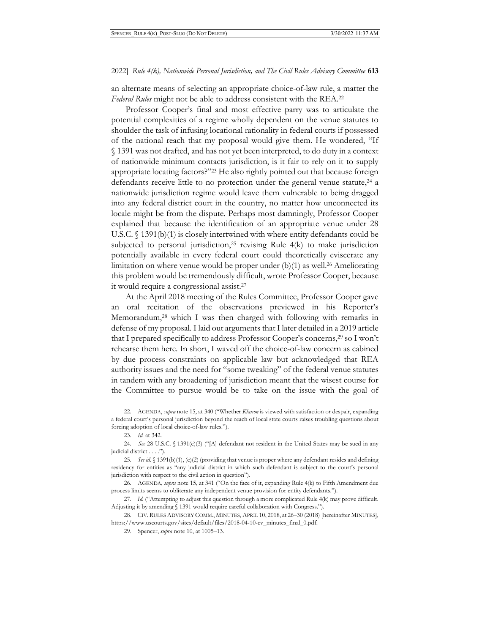an alternate means of selecting an appropriate choice-of-law rule, a matter the *Federal Rules* might not be able to address consistent with the REA.22

Professor Cooper's final and most effective parry was to articulate the potential complexities of a regime wholly dependent on the venue statutes to shoulder the task of infusing locational rationality in federal courts if possessed of the national reach that my proposal would give them. He wondered, "If § 1391 was not drafted, and has not yet been interpreted, to do duty in a context of nationwide minimum contacts jurisdiction, is it fair to rely on it to supply appropriate locating factors?"23 He also rightly pointed out that because foreign defendants receive little to no protection under the general venue statute,<sup>24</sup> a nationwide jurisdiction regime would leave them vulnerable to being dragged into any federal district court in the country, no matter how unconnected its locale might be from the dispute. Perhaps most damningly, Professor Cooper explained that because the identification of an appropriate venue under 28 U.S.C. § 1391(b)(1) is closely intertwined with where entity defendants could be subjected to personal jurisdiction,<sup>25</sup> revising Rule  $4(k)$  to make jurisdiction potentially available in every federal court could theoretically eviscerate any limitation on where venue would be proper under (b)(1) as well.26 Ameliorating this problem would be tremendously difficult, wrote Professor Cooper, because it would require a congressional assist.27

At the April 2018 meeting of the Rules Committee, Professor Cooper gave an oral recitation of the observations previewed in his Reporter's Memorandum,<sup>28</sup> which I was then charged with following with remarks in defense of my proposal. I laid out arguments that I later detailed in a 2019 article that I prepared specifically to address Professor Cooper's concerns,<sup>29</sup> so I won't rehearse them here. In short, I waved off the choice-of-law concern as cabined by due process constraints on applicable law but acknowledged that REA authority issues and the need for "some tweaking" of the federal venue statutes in tandem with any broadening of jurisdiction meant that the wisest course for the Committee to pursue would be to take on the issue with the goal of

<sup>22.</sup> AGENDA, *supra* note 15, at 340 ("Whether *Klaxon* is viewed with satisfaction or despair, expanding a federal court's personal jurisdiction beyond the reach of local state courts raises troubling questions about forcing adoption of local choice-of-law rules.").

<sup>23.</sup> *Id.* at 342.

<sup>24.</sup> *See* 28 U.S.C. § 1391(c)(3) ("[A] defendant not resident in the United States may be sued in any judicial district . . . .").

<sup>25.</sup> *See id.* § 1391(b)(1), (c)(2) (providing that venue is proper where any defendant resides and defining residency for entities as "any judicial district in which such defendant is subject to the court's personal jurisdiction with respect to the civil action in question").

<sup>26.</sup> AGENDA, *supra* note 15, at 341 ("On the face of it, expanding Rule 4(k) to Fifth Amendment due process limits seems to obliterate any independent venue provision for entity defendants.").

<sup>27.</sup> *Id.* ("Attempting to adjust this question through a more complicated Rule 4(k) may prove difficult. Adjusting it by amending § 1391 would require careful collaboration with Congress.").

<sup>28.</sup> CIV. RULES ADVISORY COMM., MINUTES, APRIL 10, 2018, at 26–30 (2018) [hereinafter MINUTES], https://www.uscourts.gov/sites/default/files/2018-04-10-cv\_minutes\_final\_0.pdf.

<sup>29.</sup> Spencer, *supra* note 10, at 1005–13.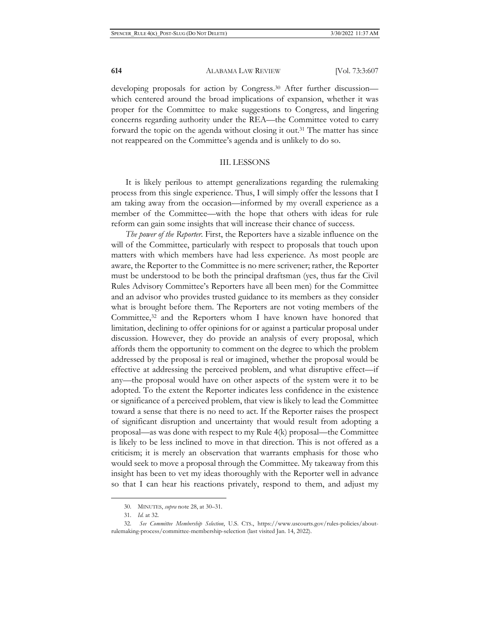developing proposals for action by Congress.<sup>30</sup> After further discussion which centered around the broad implications of expansion, whether it was proper for the Committee to make suggestions to Congress, and lingering concerns regarding authority under the REA—the Committee voted to carry forward the topic on the agenda without closing it out.<sup>31</sup> The matter has since not reappeared on the Committee's agenda and is unlikely to do so.

#### III. LESSONS

It is likely perilous to attempt generalizations regarding the rulemaking process from this single experience. Thus, I will simply offer the lessons that I am taking away from the occasion—informed by my overall experience as a member of the Committee—with the hope that others with ideas for rule reform can gain some insights that will increase their chance of success.

*The power of the Reporter*. First, the Reporters have a sizable influence on the will of the Committee, particularly with respect to proposals that touch upon matters with which members have had less experience. As most people are aware, the Reporter to the Committee is no mere scrivener; rather, the Reporter must be understood to be both the principal draftsman (yes, thus far the Civil Rules Advisory Committee's Reporters have all been men) for the Committee and an advisor who provides trusted guidance to its members as they consider what is brought before them. The Reporters are not voting members of the Committee,<sup>32</sup> and the Reporters whom I have known have honored that limitation, declining to offer opinions for or against a particular proposal under discussion. However, they do provide an analysis of every proposal, which affords them the opportunity to comment on the degree to which the problem addressed by the proposal is real or imagined, whether the proposal would be effective at addressing the perceived problem, and what disruptive effect—if any—the proposal would have on other aspects of the system were it to be adopted. To the extent the Reporter indicates less confidence in the existence or significance of a perceived problem, that view is likely to lead the Committee toward a sense that there is no need to act. If the Reporter raises the prospect of significant disruption and uncertainty that would result from adopting a proposal—as was done with respect to my Rule 4(k) proposal—the Committee is likely to be less inclined to move in that direction. This is not offered as a criticism; it is merely an observation that warrants emphasis for those who would seek to move a proposal through the Committee. My takeaway from this insight has been to vet my ideas thoroughly with the Reporter well in advance so that I can hear his reactions privately, respond to them, and adjust my

<sup>30.</sup> MINUTES, *supra* note 28, at 30–31.

<sup>31.</sup> *Id.* at 32.

<sup>32.</sup> *See Committee Membership Selection*, U.S. CTS., https://www.uscourts.gov/rules-policies/aboutrulemaking-process/committee-membership-selection (last visited Jan. 14, 2022).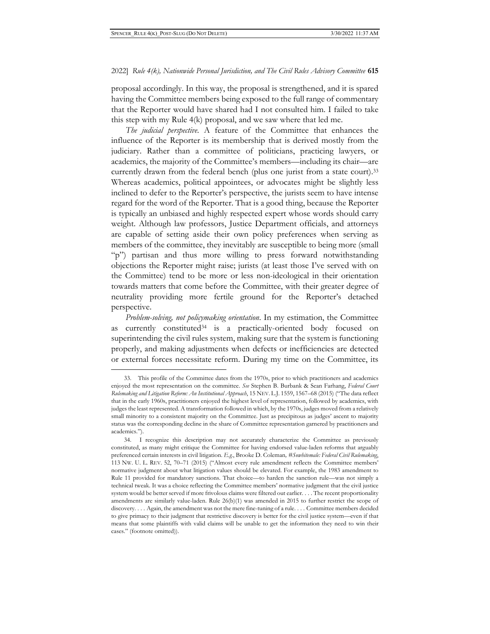proposal accordingly. In this way, the proposal is strengthened, and it is spared having the Committee members being exposed to the full range of commentary that the Reporter would have shared had I not consulted him. I failed to take this step with my Rule 4(k) proposal, and we saw where that led me.

*The judicial perspective.* A feature of the Committee that enhances the influence of the Reporter is its membership that is derived mostly from the judiciary. Rather than a committee of politicians, practicing lawyers, or academics, the majority of the Committee's members—including its chair—are currently drawn from the federal bench (plus one jurist from a state court).33 Whereas academics, political appointees, or advocates might be slightly less inclined to defer to the Reporter's perspective, the jurists seem to have intense regard for the word of the Reporter. That is a good thing, because the Reporter is typically an unbiased and highly respected expert whose words should carry weight. Although law professors, Justice Department officials, and attorneys are capable of setting aside their own policy preferences when serving as members of the committee, they inevitably are susceptible to being more (small "p") partisan and thus more willing to press forward notwithstanding objections the Reporter might raise; jurists (at least those I've served with on the Committee) tend to be more or less non-ideological in their orientation towards matters that come before the Committee, with their greater degree of neutrality providing more fertile ground for the Reporter's detached perspective.

*Problem-solving, not policymaking orientation*. In my estimation, the Committee as currently constituted<sup>34</sup> is a practically-oriented body focused on superintending the civil rules system, making sure that the system is functioning properly, and making adjustments when defects or inefficiencies are detected or external forces necessitate reform. During my time on the Committee, its

<sup>33.</sup> This profile of the Committee dates from the 1970s, prior to which practitioners and academics enjoyed the most representation on the committee. *See* Stephen B. Burbank & Sean Farhang, *Federal Court Rulemaking and Litigation Reform: An Institutional Approach*, 15 NEV. L.J. 1559, 1567–68 (2015) ("The data reflect that in the early 1960s, practitioners enjoyed the highest level of representation, followed by academics, with judges the least represented. A transformation followed in which, by the 1970s, judges moved from a relatively small minority to a consistent majority on the Committee. Just as precipitous as judges' ascent to majority status was the corresponding decline in the share of Committee representation garnered by practitioners and academics.").

<sup>34.</sup> I recognize this description may not accurately characterize the Committee as previously constituted, as many might critique the Committee for having endorsed value-laden reforms that arguably preferenced certain interests in civil litigation. *E.g.*, Brooke D. Coleman*, #Sowhitemale: Federal Civil Rulemaking*, 113 NW. U. L. REV. 52, 70–71 (2015) ("Almost every rule amendment reflects the Committee members' normative judgment about what litigation values should be elevated. For example, the 1983 amendment to Rule 11 provided for mandatory sanctions. That choice—to harden the sanction rule—was not simply a technical tweak. It was a choice reflecting the Committee members' normative judgment that the civil justice system would be better served if more frivolous claims were filtered out earlier. . . . The recent proportionality amendments are similarly value-laden. Rule 26(b)(1) was amended in 2015 to further restrict the scope of discovery. . . . Again, the amendment was not the mere fine-tuning of a rule. . . . Committee members decided to give primacy to their judgment that restrictive discovery is better for the civil justice system—even if that means that some plaintiffs with valid claims will be unable to get the information they need to win their cases." (footnote omitted)).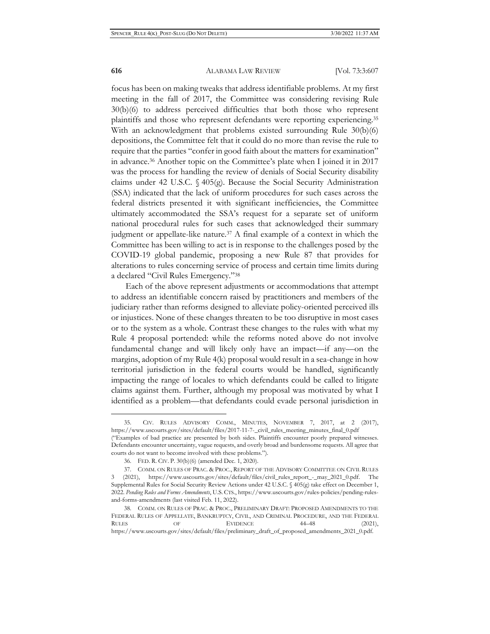focus has been on making tweaks that address identifiable problems. At my first meeting in the fall of 2017, the Committee was considering revising Rule 30(b)(6) to address perceived difficulties that both those who represent plaintiffs and those who represent defendants were reporting experiencing.35 With an acknowledgment that problems existed surrounding Rule 30(b)(6) depositions, the Committee felt that it could do no more than revise the rule to require that the parties "confer in good faith about the matters for examination" in advance.36 Another topic on the Committee's plate when I joined it in 2017 was the process for handling the review of denials of Social Security disability claims under 42 U.S.C. § 405(g). Because the Social Security Administration (SSA) indicated that the lack of uniform procedures for such cases across the federal districts presented it with significant inefficiencies, the Committee ultimately accommodated the SSA's request for a separate set of uniform national procedural rules for such cases that acknowledged their summary judgment or appellate-like nature.37 A final example of a context in which the Committee has been willing to act is in response to the challenges posed by the COVID-19 global pandemic, proposing a new Rule 87 that provides for alterations to rules concerning service of process and certain time limits during a declared "Civil Rules Emergency."38

Each of the above represent adjustments or accommodations that attempt to address an identifiable concern raised by practitioners and members of the judiciary rather than reforms designed to alleviate policy-oriented perceived ills or injustices. None of these changes threaten to be too disruptive in most cases or to the system as a whole. Contrast these changes to the rules with what my Rule 4 proposal portended: while the reforms noted above do not involve fundamental change and will likely only have an impact—if any—on the margins, adoption of my Rule 4(k) proposal would result in a sea-change in how territorial jurisdiction in the federal courts would be handled, significantly impacting the range of locales to which defendants could be called to litigate claims against them. Further, although my proposal was motivated by what I identified as a problem—that defendants could evade personal jurisdiction in

CIV. RULES ADVISORY COMM., MINUTES, NOVEMBER 7, 2017, at 2 (2017), https://www.uscourts.gov/sites/default/files/2017-11-7-\_civil\_rules\_meeting\_minutes\_final\_0.pdf ("Examples of bad practice are presented by both sides. Plaintiffs encounter poorly prepared witnesses.

Defendants encounter uncertainty, vague requests, and overly broad and burdensome requests. All agree that courts do not want to become involved with these problems.").

<sup>36.</sup> FED. R. CIV. P. 30(b)(6) (amended Dec. 1, 2020).

<sup>37.</sup> COMM. ON RULES OF PRAC. & PROC., REPORT OF THE ADVISORY COMMITTEE ON CIVIL RULES 3 (2021), https://www.uscourts.gov/sites/default/files/civil\_rules\_report\_-\_may\_2021\_0.pdf. The Supplemental Rules for Social Security Review Actions under 42 U.S.C. § 405(g) take effect on December 1, 2022. *Pending Rules and Forms Amendments*, U.S. CTS., https://www.uscourts.gov/rules-policies/pending-rulesand-forms-amendments (last visited Feb. 11, 2022).

<sup>38.</sup> COMM. ON RULES OF PRAC. & PROC., PRELIMINARY DRAFT: PROPOSED AMENDMENTS TO THE FEDERAL RULES OF APPELLATE, BANKRUPTCY, CIVIL, AND CRIMINAL PROCEDURE, AND THE FEDERAL RULES OF EVIDENCE 44–48 (2021), https://www.uscourts.gov/sites/default/files/preliminary\_draft\_of\_proposed\_amendments\_2021\_0.pdf.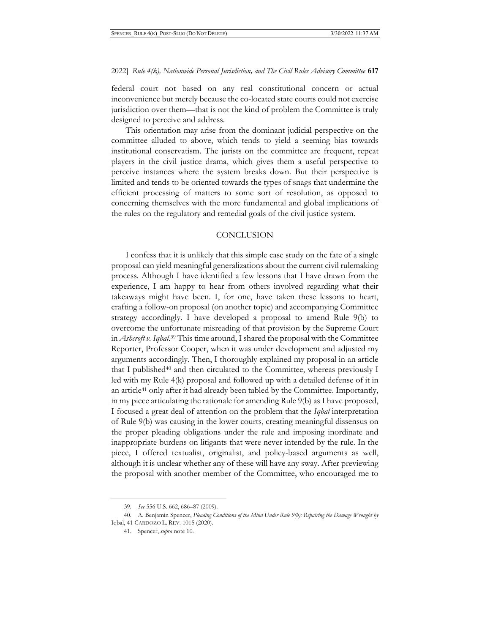federal court not based on any real constitutional concern or actual inconvenience but merely because the co-located state courts could not exercise jurisdiction over them—that is not the kind of problem the Committee is truly designed to perceive and address.

This orientation may arise from the dominant judicial perspective on the committee alluded to above, which tends to yield a seeming bias towards institutional conservatism. The jurists on the committee are frequent, repeat players in the civil justice drama, which gives them a useful perspective to perceive instances where the system breaks down. But their perspective is limited and tends to be oriented towards the types of snags that undermine the efficient processing of matters to some sort of resolution, as opposed to concerning themselves with the more fundamental and global implications of the rules on the regulatory and remedial goals of the civil justice system.

#### **CONCLUSION**

I confess that it is unlikely that this simple case study on the fate of a single proposal can yield meaningful generalizations about the current civil rulemaking process. Although I have identified a few lessons that I have drawn from the experience, I am happy to hear from others involved regarding what their takeaways might have been. I, for one, have taken these lessons to heart, crafting a follow-on proposal (on another topic) and accompanying Committee strategy accordingly. I have developed a proposal to amend Rule 9(b) to overcome the unfortunate misreading of that provision by the Supreme Court in *Ashcroft v. Iqbal*. 39 This time around, I shared the proposal with the Committee Reporter, Professor Cooper, when it was under development and adjusted my arguments accordingly. Then, I thoroughly explained my proposal in an article that I published<sup>40</sup> and then circulated to the Committee, whereas previously I led with my Rule 4(k) proposal and followed up with a detailed defense of it in an article41 only after it had already been tabled by the Committee. Importantly, in my piece articulating the rationale for amending Rule 9(b) as I have proposed, I focused a great deal of attention on the problem that the *Iqbal* interpretation of Rule 9(b) was causing in the lower courts, creating meaningful dissensus on the proper pleading obligations under the rule and imposing inordinate and inappropriate burdens on litigants that were never intended by the rule. In the piece, I offered textualist, originalist, and policy-based arguments as well, although it is unclear whether any of these will have any sway. After previewing the proposal with another member of the Committee, who encouraged me to

<sup>39.</sup> *See* 556 U.S. 662, 686–87 (2009).

<sup>40.</sup> A. Benjamin Spencer, *Pleading Conditions of the Mind Under Rule 9(b): Repairing the Damage Wrought by*  Iqbal, 41 CARDOZO L. REV. 1015 (2020).

<sup>41.</sup> Spencer, *supra* note 10.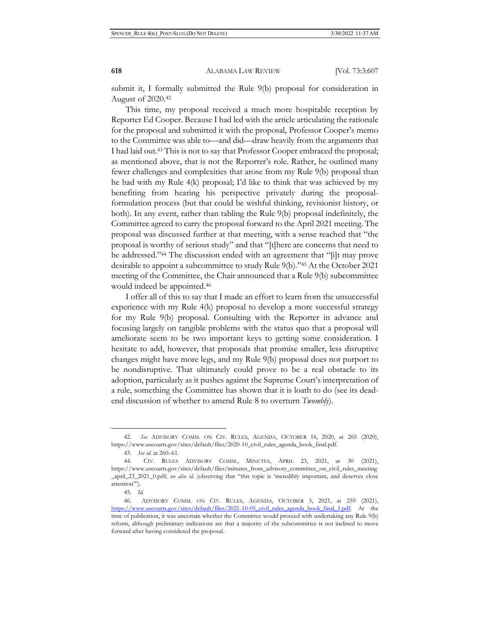submit it, I formally submitted the Rule 9(b) proposal for consideration in August of 2020.42

This time, my proposal received a much more hospitable reception by Reporter Ed Cooper. Because I had led with the article articulating the rationale for the proposal and submitted it with the proposal, Professor Cooper's memo to the Committee was able to—and did—draw heavily from the arguments that I had laid out.43 This is not to say that Professor Cooper embraced the proposal; as mentioned above, that is not the Reporter's role. Rather, he outlined many fewer challenges and complexities that arose from my Rule 9(b) proposal than he had with my Rule 4(k) proposal; I'd like to think that was achieved by my benefiting from hearing his perspective privately during the proposalformulation process (but that could be wishful thinking, revisionist history, or both). In any event, rather than tabling the Rule 9(b) proposal indefinitely, the Committee agreed to carry the proposal forward to the April 2021 meeting. The proposal was discussed further at that meeting, with a sense reached that "the proposal is worthy of serious study" and that "[t]here are concerns that need to be addressed."44 The discussion ended with an agreement that "[i]t may prove desirable to appoint a subcommittee to study Rule 9(b)."45 At the October 2021 meeting of the Committee, the Chair announced that a Rule 9(b) subcommittee would indeed be appointed.46

I offer all of this to say that I made an effort to learn from the unsuccessful experience with my Rule 4(k) proposal to develop a more successful strategy for my Rule 9(b) proposal. Consulting with the Reporter in advance and focusing largely on tangible problems with the status quo that a proposal will ameliorate seem to be two important keys to getting some consideration. I hesitate to add, however, that proposals that promise smaller, less disruptive changes might have more legs, and my Rule 9(b) proposal does not purport to be nondisruptive. That ultimately could prove to be a real obstacle to its adoption, particularly as it pushes against the Supreme Court's interpretation of a rule, something the Committee has shown that it is loath to do (see its deadend discussion of whether to amend Rule 8 to overturn *Twombly*).

<sup>42.</sup> *See* ADVISORY COMM. ON CIV. RULES, AGENDA, OCTOBER 16, 2020, at 265 (2020), https://www.uscourts.gov/sites/default/files/2020-10\_civil\_rules\_agenda\_book\_final.pdf.

<sup>43.</sup> *See id.* at 260–61.

<sup>44.</sup> CIV. RULES ADVISORY COMM., MINUTES, APRIL 23, 2021, at 30 (2021), https://www.uscourts.gov/sites/default/files/minutes\_from\_advisory\_committee\_on\_civil\_rules\_meeting \_april\_23\_2021\_0.pdf; *see also id.* (observing that "this topic is 'incredibly important, and deserves close attention'").

<sup>45.</sup> *Id.*

<sup>46.</sup> ADVISORY COMM. ON CIV. RULES, AGENDA, OCTOBER 5, 2021, at 259 (2021), https://www.uscourts.gov/sites/default/files/2021-10-05\_civil\_rules\_agenda\_book\_final\_1.pdf. At the time of publication, it was uncertain whether the Committee would proceed with undertaking any Rule 9(b) reform, although preliminary indications are that a majority of the subcommittee is not inclined to move forward after having considered the proposal.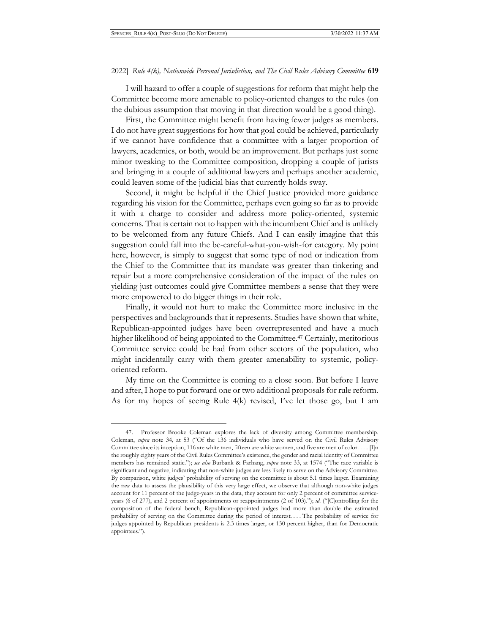I will hazard to offer a couple of suggestions for reform that might help the Committee become more amenable to policy-oriented changes to the rules (on the dubious assumption that moving in that direction would be a good thing).

First, the Committee might benefit from having fewer judges as members. I do not have great suggestions for how that goal could be achieved, particularly if we cannot have confidence that a committee with a larger proportion of lawyers, academics, or both, would be an improvement. But perhaps just some minor tweaking to the Committee composition, dropping a couple of jurists and bringing in a couple of additional lawyers and perhaps another academic, could leaven some of the judicial bias that currently holds sway.

Second, it might be helpful if the Chief Justice provided more guidance regarding his vision for the Committee, perhaps even going so far as to provide it with a charge to consider and address more policy-oriented, systemic concerns. That is certain not to happen with the incumbent Chief and is unlikely to be welcomed from any future Chiefs. And I can easily imagine that this suggestion could fall into the be-careful-what-you-wish-for category. My point here, however, is simply to suggest that some type of nod or indication from the Chief to the Committee that its mandate was greater than tinkering and repair but a more comprehensive consideration of the impact of the rules on yielding just outcomes could give Committee members a sense that they were more empowered to do bigger things in their role.

Finally, it would not hurt to make the Committee more inclusive in the perspectives and backgrounds that it represents. Studies have shown that white, Republican-appointed judges have been overrepresented and have a much higher likelihood of being appointed to the Committee.<sup>47</sup> Certainly, meritorious Committee service could be had from other sectors of the population, who might incidentally carry with them greater amenability to systemic, policyoriented reform.

My time on the Committee is coming to a close soon. But before I leave and after, I hope to put forward one or two additional proposals for rule reform. As for my hopes of seeing Rule 4(k) revised, I've let those go, but I am

<sup>47</sup>. Professor Brooke Coleman explores the lack of diversity among Committee membership. Coleman, *supra* note 34, at 53 ("Of the 136 individuals who have served on the Civil Rules Advisory Committee since its inception, 116 are white men, fifteen are white women, and five are men of color. . . .  $\[\Pi\]$ n the roughly eighty years of the Civil Rules Committee's existence, the gender and racial identity of Committee members has remained static."); *see also* Burbank & Farhang, *supra* note 33, at 1574 ("The race variable is significant and negative, indicating that non-white judges are less likely to serve on the Advisory Committee. By comparison, white judges' probability of serving on the committee is about 5.1 times larger. Examining the raw data to assess the plausibility of this very large effect, we observe that although non-white judges account for 11 percent of the judge-years in the data, they account for only 2 percent of committee serviceyears (6 of 277), and 2 percent of appointments or reappointments (2 of 103)."); *id.* ("[C]ontrolling for the composition of the federal bench, Republican-appointed judges had more than double the estimated probability of serving on the Committee during the period of interest. . . . The probability of service for judges appointed by Republican presidents is 2.3 times larger, or 130 percent higher, than for Democratic appointees.").